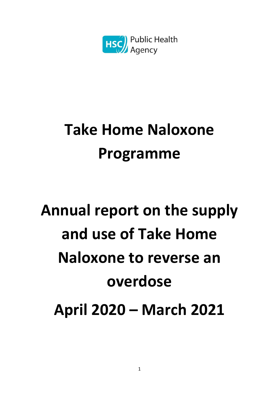

## **Take Home Naloxone Programme**

# **Annual report on the supply and use of Take Home Naloxone to reverse an overdose April 2020 – March 2021**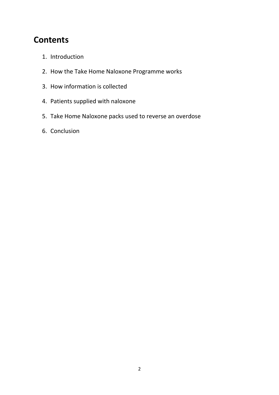### **Contents**

- 1. Introduction
- 2. How the Take Home Naloxone Programme works
- 3. How information is collected
- 4. Patients supplied with naloxone
- 5. Take Home Naloxone packs used to reverse an overdose
- 6. Conclusion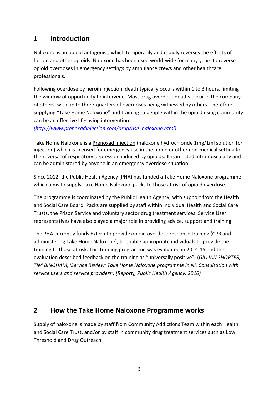#### **1 Introduction**

Naloxone is an opioid antagonist, which temporarily and rapidly reverses the effects of heroin and other opioids. Naloxone has been used world-wide for many years to reverse opioid overdoses in emergency settings by ambulance crews and other healthcare professionals.

Following overdose by heroin injection, death typically occurs within 1 to 3 hours, limiting the window of opportunity to intervene. Most drug overdose deaths occur in the company of others, with up to three-quarters of overdoses being witnessed by others. Therefore supplying "Take Home Naloxone" and training to people within the opioid using community can be an effective lifesaving intervention.

*(http://www.prenoxadinjection.com/drug/use\_naloxone.html)*

Take Home Naloxone is a [Prenoxad Injection](http://www.prenoxadinjection.com/drug/when_and_how.html) (naloxone hydrochloride 1mg/1ml solution for injection) which is licensed for emergency use in the home or other non-medical setting for the reversal of respiratory depression induced by opioids. It is injected intramuscularly and can be administered by anyone in an emergency overdose situation.

Since 2012, the Public Health Agency (PHA) has funded a Take Home Naloxone programme, which aims to supply Take Home Naloxone packs to those at risk of opioid overdose.

The programme is coordinated by the Public Health Agency, with support from the Health and Social Care Board. Packs are supplied by staff within individual Health and Social Care Trusts, the Prison Service and voluntary sector drug treatment services. Service User representatives have also played a major role in providing advice, support and training.

The PHA currently funds Extern to provide opioid overdose response training (CPR and administering Take Home Naloxone), to enable appropriate individuals to provide the training to those at risk. This training programme was evaluated in 2014-15 and the evaluation described feedback on the training as "universally positive". (*GILLIAN SHORTER, TIM BINGHAM, 'Service Review: Take Home Naloxone programme in NI. Consultation with service users and service providers', [Report], Public Health Agency, 2016)*

#### **2 How the Take Home Naloxone Programme works**

Supply of naloxone is made by staff from Community Addictions Team within each Health and Social Care Trust, and/or by staff in community drug treatment services such as Low Threshold and Drug Outreach.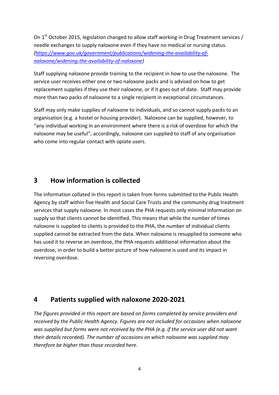On 1<sup>st</sup> October 2015, legislation changed to allow staff working in Drug Treatment services / needle exchanges to supply naloxone even if they have no medical or nursing status. *[\(https://www.gov.uk/government/publications/widening-the-availability-of](https://www.gov.uk/government/publications/widening-the-availability-of-naloxone/widening-the-availability-of-naloxone)[naloxone/widening-the-availability-of-naloxone\)](https://www.gov.uk/government/publications/widening-the-availability-of-naloxone/widening-the-availability-of-naloxone)*

Staff supplying naloxone provide training to the recipient in how to use the naloxone. The service user receives either one or two naloxone packs and is advised on how to get replacement supplies if they use their naloxone, or if it goes out of date. Staff may provide more than two packs of naloxone to a single recipient in exceptional circumstances.

Staff may only make supplies of naloxone to individuals, and so cannot supply packs to an organisation (e.g. a hostel or housing provider). Naloxone can be supplied, however, to "any individual working in an environment where there is a risk of overdose for which the naloxone may be useful"; accordingly, naloxone can supplied to staff of any organisation who come into regular contact with opiate users.

#### **3 How information is collected**

The information collated in this report is taken from forms submitted to the Public Health Agency by staff within five Health and Social Care Trusts and the community drug treatment services that supply naloxone. In most cases the PHA requests only minimal information on supply so that clients cannot be identified. This means that while the number of times naloxone is supplied to clients is provided to the PHA, the number of individual clients supplied cannot be extracted from the data. When naloxone is resupplied to someone who has used it to reverse an overdose, the PHA requests additional information about the overdose, in order to build a better picture of how naloxone is used and its impact in reversing overdose.

#### **4 Patients supplied with naloxone 2020-2021**

*The figures provided in this report are based on forms completed by service providers and received by the Public Health Agency. Figures are not included for occasions when naloxone was supplied but forms were not received by the PHA (e.g. if the service user did not want their details recorded). The number of occasions on which naloxone was supplied may therefore be higher than those recorded here.*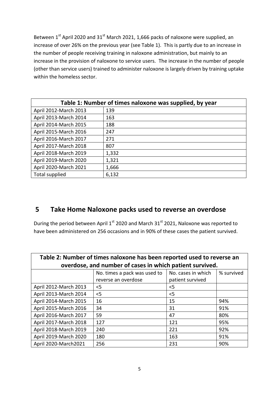Between  $1<sup>st</sup>$  April 2020 and 31<sup>st</sup> March 2021, 1,666 packs of naloxone were supplied, an increase of over 26% on the previous year (see Table 1). This is partly due to an increase in the number of people receiving training in naloxone administration, but mainly to an increase in the provision of naloxone to service users. The increase in the number of people (other than service users) trained to administer naloxone is largely driven by training uptake within the homeless sector.

| Table 1: Number of times naloxone was supplied, by year |       |  |  |
|---------------------------------------------------------|-------|--|--|
| April 2012-March 2013                                   | 139   |  |  |
| April 2013-March 2014                                   | 163   |  |  |
| April 2014-March 2015                                   | 188   |  |  |
| April 2015-March 2016                                   | 247   |  |  |
| April 2016-March 2017                                   | 271   |  |  |
| April 2017-March 2018                                   | 807   |  |  |
| April 2018-March 2019                                   | 1,332 |  |  |
| April 2019-March 2020                                   | 1,321 |  |  |
| April 2020-March 2021                                   | 1,666 |  |  |
| Total supplied                                          | 6,132 |  |  |

#### **5 Take Home Naloxone packs used to reverse an overdose**

During the period between April 1<sup>st</sup> 2020 and March 31<sup>st</sup> 2021, Naloxone was reported to have been administered on 256 occasions and in 90% of these cases the patient survived.

| Table 2: Number of times naloxone has been reported used to reverse an |                              |                    |            |  |
|------------------------------------------------------------------------|------------------------------|--------------------|------------|--|
| overdose, and number of cases in which patient survived.               |                              |                    |            |  |
|                                                                        | No. times a pack was used to | No. cases in which | % survived |  |
|                                                                        | reverse an overdose          | patient survived   |            |  |
| April 2012-March 2013                                                  | $<$ 5                        | $<$ 5              |            |  |
| April 2013-March 2014                                                  | $<$ 5                        | $<$ 5              |            |  |
| April 2014-March 2015                                                  | 16                           | 15                 | 94%        |  |
| April 2015-March 2016                                                  | 34                           | 31                 | 91%        |  |
| April 2016-March 2017                                                  | 59                           | 47                 | 80%        |  |
| April 2017-March 2018                                                  | 127                          | 121                | 95%        |  |
| April 2018-March 2019                                                  | 240                          | 221                | 92%        |  |
| April 2019-March 2020                                                  | 180                          | 163                | 91%        |  |
| April 2020-March2021                                                   | 256                          | 231                | 90%        |  |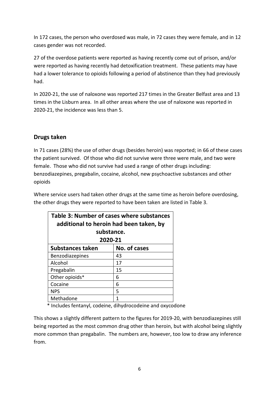In 172 cases, the person who overdosed was male, in 72 cases they were female, and in 12 cases gender was not recorded.

27 of the overdose patients were reported as having recently come out of prison, and/or were reported as having recently had detoxification treatment. These patients may have had a lower tolerance to opioids following a period of abstinence than they had previously had.

In 2020-21, the use of naloxone was reported 217 times in the Greater Belfast area and 13 times in the Lisburn area. In all other areas where the use of naloxone was reported in 2020-21, the incidence was less than 5.

#### **Drugs taken**

In 71 cases (28%) the use of other drugs (besides heroin) was reported; in 66 of these cases the patient survived. Of those who did not survive were three were male, and two were female. Those who did not survive had used a range of other drugs including: benzodiazepines, pregabalin, cocaine, alcohol, new psychoactive substances and other opioids

Where service users had taken other drugs at the same time as heroin before overdosing, the other drugs they were reported to have been taken are listed in Table 3.

| Table 3: Number of cases where substances<br>additional to heroin had been taken, by |              |  |  |  |
|--------------------------------------------------------------------------------------|--------------|--|--|--|
| substance.<br>2020-21                                                                |              |  |  |  |
| <b>Substances taken</b>                                                              | No. of cases |  |  |  |
| Benzodiazepines                                                                      | 43           |  |  |  |
| Alcohol                                                                              | 17           |  |  |  |
| Pregabalin                                                                           | 15           |  |  |  |
| Other opioids*                                                                       | 6            |  |  |  |
| Cocaine                                                                              | 6            |  |  |  |
| <b>NPS</b>                                                                           | 5            |  |  |  |
| Methadone                                                                            | 1            |  |  |  |

\* Includes fentanyl, codeine, dihydrocodeine and oxycodone

This shows a slightly different pattern to the figures for 2019-20, with benzodiazepines still being reported as the most common drug other than heroin, but with alcohol being slightly more common than pregabalin. The numbers are, however, too low to draw any inference from.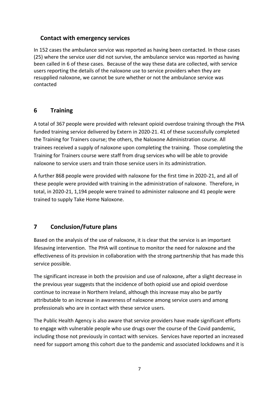#### **Contact with emergency services**

In 152 cases the ambulance service was reported as having been contacted. In those cases (25) where the service user did not survive, the ambulance service was reported as having been called in 6 of these cases. Because of the way these data are collected, with service users reporting the details of the naloxone use to service providers when they are resupplied naloxone, we cannot be sure whether or not the ambulance service was contacted

#### **6 Training**

A total of 367 people were provided with relevant opioid overdose training through the PHA funded training service delivered by Extern in 2020-21. 41 of these successfully completed the Training for Trainers course; the others, the Naloxone Administration course. All trainees received a supply of naloxone upon completing the training. Those completing the Training for Trainers course were staff from drug services who will be able to provide naloxone to service users and train those service users in its administration.

A further 868 people were provided with naloxone for the first time in 2020-21, and all of these people were provided with training in the administration of naloxone. Therefore, in total, in 2020-21, 1,194 people were trained to administer naloxone and 41 people were trained to supply Take Home Naloxone.

#### **7 Conclusion/Future plans**

Based on the analysis of the use of naloxone, it is clear that the service is an important lifesaving intervention. The PHA will continue to monitor the need for naloxone and the effectiveness of its provision in collaboration with the strong partnership that has made this service possible.

The significant increase in both the provision and use of naloxone, after a slight decrease in the previous year suggests that the incidence of both opioid use and opioid overdose continue to increase in Northern Ireland, although this increase may also be partly attributable to an increase in awareness of naloxone among service users and among professionals who are in contact with these service users.

The Public Health Agency is also aware that service providers have made significant efforts to engage with vulnerable people who use drugs over the course of the Covid pandemic, including those not previously in contact with services. Services have reported an increased need for support among this cohort due to the pandemic and associated lockdowns and it is